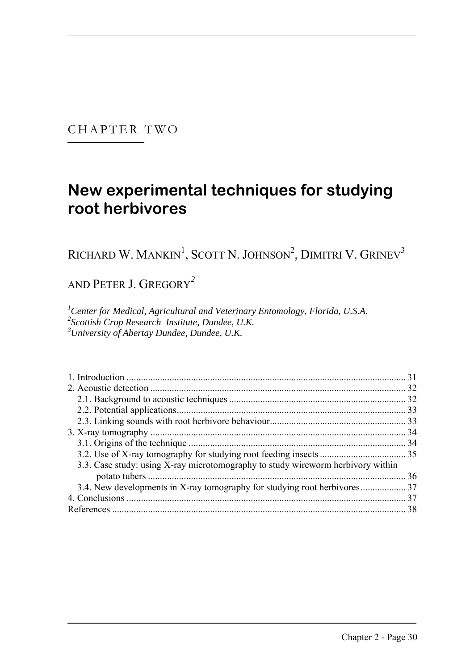## CHAPTER TWO

# **New experimental techniques for studying root herbivores**

RICHARD W. MANKIN $^1$ , SCOTT N. JOHNSON $^2$ , DIMITRI V. GRINEV $^3$ 

AND PETER J. GREGORY*<sup>2</sup>*

*1 Center for Medical, Agricultural and Veterinary Entomology, Florida, U.S.A. 2 Scottish Crop Research Institute, Dundee, U.K. 3 University of Abertay Dundee, Dundee, U.K.* 

| 3.3. Case study: using X-ray microtomography to study wireworm herbivory within |
|---------------------------------------------------------------------------------|
|                                                                                 |
|                                                                                 |
| 37                                                                              |
| 38                                                                              |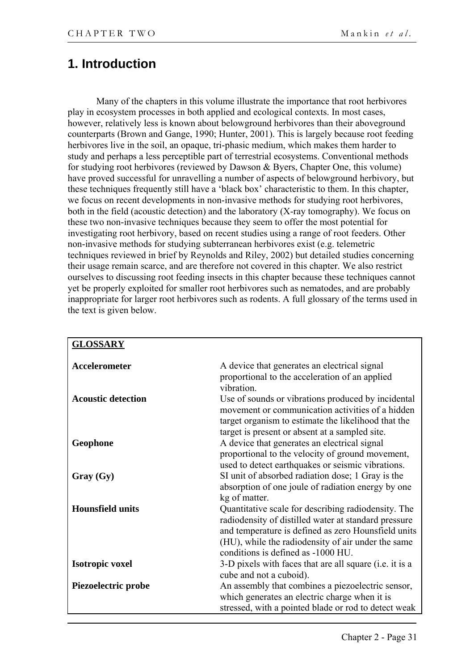## <span id="page-1-0"></span>**1. Introduction**

Many of the chapters in this volume illustrate the importance that root herbivores play in ecosystem processes in both applied and ecological contexts. In most cases, however, relatively less is known about belowground herbivores than their aboveground counterparts (Brown and Gange, 1990; Hunter, 2001). This is largely because root feeding herbivores live in the soil, an opaque, tri-phasic medium, which makes them harder to study and perhaps a less perceptible part of terrestrial ecosystems. Conventional methods for studying root herbivores (reviewed by Dawson & Byers, Chapter One, this volume) have proved successful for unravelling a number of aspects of belowground herbivory, but these techniques frequently still have a 'black box' characteristic to them. In this chapter, we focus on recent developments in non-invasive methods for studying root herbivores, both in the field (acoustic detection) and the laboratory (X-ray tomography). We focus on these two non-invasive techniques because they seem to offer the most potential for investigating root herbivory, based on recent studies using a range of root feeders. Other non-invasive methods for studying subterranean herbivores exist (e.g. telemetric techniques reviewed in brief by Reynolds and Riley, 2002) but detailed studies concerning their usage remain scarce, and are therefore not covered in this chapter. We also restrict ourselves to discussing root feeding insects in this chapter because these techniques cannot yet be properly exploited for smaller root herbivores such as nematodes, and are probably inappropriate for larger root herbivores such as rodents. A full glossary of the terms used in the text is given below.

| <b>GLOSSARY</b>           |                                                                                                                                                                                                                                                                |
|---------------------------|----------------------------------------------------------------------------------------------------------------------------------------------------------------------------------------------------------------------------------------------------------------|
| Accelerometer             | A device that generates an electrical signal<br>proportional to the acceleration of an applied<br>vibration.                                                                                                                                                   |
| <b>Acoustic detection</b> | Use of sounds or vibrations produced by incidental<br>movement or communication activities of a hidden<br>target organism to estimate the likelihood that the<br>target is present or absent at a sampled site.                                                |
| Geophone                  | A device that generates an electrical signal<br>proportional to the velocity of ground movement,<br>used to detect earthquakes or seismic vibrations.                                                                                                          |
| Gray (Gy)                 | SI unit of absorbed radiation dose; 1 Gray is the<br>absorption of one joule of radiation energy by one<br>kg of matter.                                                                                                                                       |
| <b>Hounsfield units</b>   | Quantitative scale for describing radiodensity. The<br>radiodensity of distilled water at standard pressure<br>and temperature is defined as zero Hounsfield units<br>(HU), while the radiodensity of air under the same<br>conditions is defined as -1000 HU. |
| <b>Isotropic voxel</b>    | 3-D pixels with faces that are all square ( <i>i.e.</i> it is a<br>cube and not a cuboid).                                                                                                                                                                     |
| Piezoelectric probe       | An assembly that combines a piezoelectric sensor,<br>which generates an electric charge when it is<br>stressed, with a pointed blade or rod to detect weak                                                                                                     |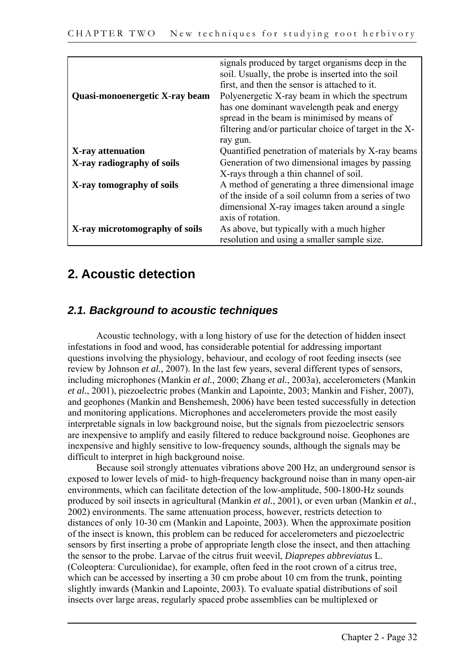<span id="page-2-0"></span>

|                                | signals produced by target organisms deep in the<br>soil. Usually, the probe is inserted into the soil |
|--------------------------------|--------------------------------------------------------------------------------------------------------|
|                                | first, and then the sensor is attached to it.                                                          |
| Quasi-monoenergetic X-ray beam | Polyenergetic X-ray beam in which the spectrum                                                         |
|                                | has one dominant wavelength peak and energy                                                            |
|                                | spread in the beam is minimised by means of                                                            |
|                                | filtering and/or particular choice of target in the X-                                                 |
|                                | ray gun.                                                                                               |
| X-ray attenuation              | Quantified penetration of materials by X-ray beams                                                     |
| X-ray radiography of soils     | Generation of two dimensional images by passing                                                        |
|                                | X-rays through a thin channel of soil.                                                                 |
| X-ray tomography of soils      | A method of generating a three dimensional image                                                       |
|                                | of the inside of a soil column from a series of two                                                    |
|                                | dimensional X-ray images taken around a single                                                         |
|                                | axis of rotation.                                                                                      |
| X-ray microtomography of soils | As above, but typically with a much higher                                                             |
|                                | resolution and using a smaller sample size.                                                            |

## **2. Acoustic detection**

#### *2.1. Background to acoustic techniques*

Acoustic technology, with a long history of use for the detection of hidden insect infestations in food and wood, has considerable potential for addressing important questions involving the physiology, behaviour, and ecology of root feeding insects (see review by Johnson *et al.*, 2007). In the last few years, several different types of sensors, including microphones (Mankin *et al.*, 2000; Zhang *et al.*, 2003a), accelerometers (Mankin *et al.*, 2001), piezoelectric probes (Mankin and Lapointe, 2003; Mankin and Fisher, 2007), and geophones (Mankin and Benshemesh, 2006) have been tested successfully in detection and monitoring applications. Microphones and accelerometers provide the most easily interpretable signals in low background noise, but the signals from piezoelectric sensors are inexpensive to amplify and easily filtered to reduce background noise. Geophones are inexpensive and highly sensitive to low-frequency sounds, although the signals may be difficult to interpret in high background noise.

Because soil strongly attenuates vibrations above 200 Hz, an underground sensor is exposed to lower levels of mid- to high-frequency background noise than in many open-air environments, which can facilitate detection of the low-amplitude, 500-1800-Hz sounds produced by soil insects in agricultural (Mankin *et al.*, 2001), or even urban (Mankin *et al.*, 2002) environments. The same attenuation process, however, restricts detection to distances of only 10-30 cm (Mankin and Lapointe, 2003). When the approximate position of the insect is known, this problem can be reduced for accelerometers and piezoelectric sensors by first inserting a probe of appropriate length close the insect, and then attaching the sensor to the probe. Larvae of the citrus fruit weevil, *Diaprepes abbreviatus* L. (Coleoptera: Curculionidae), for example, often feed in the root crown of a citrus tree, which can be accessed by inserting a 30 cm probe about 10 cm from the trunk, pointing slightly inwards (Mankin and Lapointe, 2003). To evaluate spatial distributions of soil insects over large areas, regularly spaced probe assemblies can be multiplexed or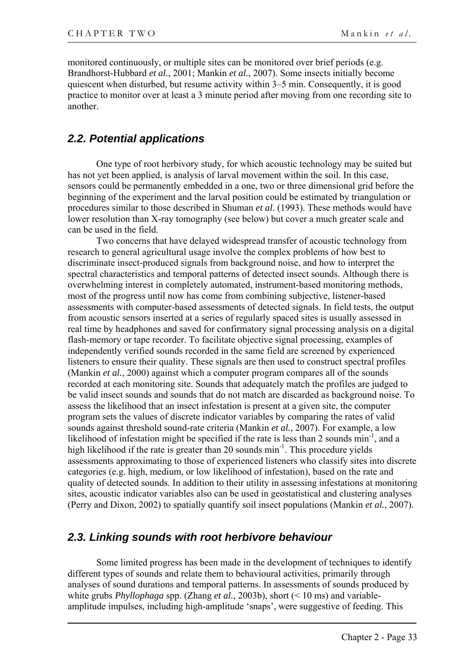<span id="page-3-0"></span>monitored continuously, or multiple sites can be monitored over brief periods (e.g. Brandhorst-Hubbard *et al.*, 2001; Mankin *et al.*, 2007). Some insects initially become quiescent when disturbed, but resume activity within 3–5 min. Consequently, it is good practice to monitor over at least a 3 minute period after moving from one recording site to another.

### *2.2. Potential applications*

One type of root herbivory study, for which acoustic technology may be suited but has not yet been applied, is analysis of larval movement within the soil. In this case, sensors could be permanently embedded in a one, two or three dimensional grid before the beginning of the experiment and the larval position could be estimated by triangulation or procedures similar to those described in Shuman *et al*. (1993). These methods would have lower resolution than X-ray tomography (see below) but cover a much greater scale and can be used in the field.

Two concerns that have delayed widespread transfer of acoustic technology from research to general agricultural usage involve the complex problems of how best to discriminate insect-produced signals from background noise, and how to interpret the spectral characteristics and temporal patterns of detected insect sounds. Although there is overwhelming interest in completely automated, instrument-based monitoring methods, most of the progress until now has come from combining subjective, listener-based assessments with computer-based assessments of detected signals. In field tests, the output from acoustic sensors inserted at a series of regularly spaced sites is usually assessed in real time by headphones and saved for confirmatory signal processing analysis on a digital flash-memory or tape recorder. To facilitate objective signal processing, examples of independently verified sounds recorded in the same field are screened by experienced listeners to ensure their quality. These signals are then used to construct spectral profiles (Mankin *et al.*, 2000) against which a computer program compares all of the sounds recorded at each monitoring site. Sounds that adequately match the profiles are judged to be valid insect sounds and sounds that do not match are discarded as background noise. To assess the likelihood that an insect infestation is present at a given site, the computer program sets the values of discrete indicator variables by comparing the rates of valid sounds against threshold sound-rate criteria (Mankin *et al.*, 2007). For example, a low likelihood of infestation might be specified if the rate is less than 2 sounds  $min^{-1}$ , and a high likelihood if the rate is greater than 20 sounds min<sup>-1</sup>. This procedure yields assessments approximating to those of experienced listeners who classify sites into discrete categories (e.g. high, medium, or low likelihood of infestation), based on the rate and quality of detected sounds. In addition to their utility in assessing infestations at monitoring sites, acoustic indicator variables also can be used in geostatistical and clustering analyses (Perry and Dixon, 2002) to spatially quantify soil insect populations (Mankin *et al.*, 2007).

### *2.3. Linking sounds with root herbivore behaviour*

Some limited progress has been made in the development of techniques to identify different types of sounds and relate them to behavioural activities, primarily through analyses of sound durations and temporal patterns. In assessments of sounds produced by white grubs *Phyllophaga* spp. (Zhang *et al.*, 2003b), short (< 10 ms) and variableamplitude impulses, including high-amplitude 'snaps', were suggestive of feeding. This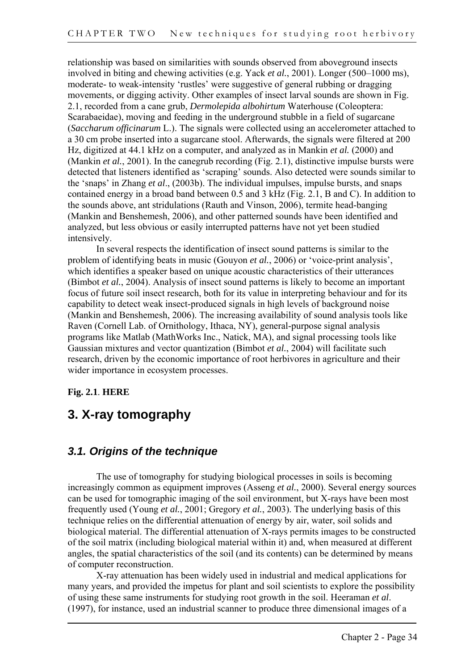<span id="page-4-0"></span>relationship was based on similarities with sounds observed from aboveground insects involved in biting and chewing activities (e.g. Yack *et al.*, 2001). Longer (500–1000 ms), moderate- to weak-intensity 'rustles' were suggestive of general rubbing or dragging movements, or digging activity. Other examples of insect larval sounds are shown in Fig. 2.1, recorded from a cane grub, *Dermolepida albohirtum* Waterhouse (Coleoptera: Scarabaeidae), moving and feeding in the underground stubble in a field of sugarcane (*Saccharum officinarum* L.). The signals were collected using an accelerometer attached to a 30 cm probe inserted into a sugarcane stool. Afterwards, the signals were filtered at 200 Hz, digitized at 44.1 kHz on a computer, and analyzed as in Mankin *et al.* (2000) and (Mankin *et al.*, 2001). In the canegrub recording (Fig. 2.1), distinctive impulse bursts were detected that listeners identified as 'scraping' sounds. Also detected were sounds similar to the 'snaps' in Zhang *et al*., (2003b). The individual impulses, impulse bursts, and snaps contained energy in a broad band between 0.5 and 3 kHz (Fig. 2.1, B and C). In addition to the sounds above, ant stridulations (Rauth and Vinson, 2006), termite head-banging (Mankin and Benshemesh, 2006), and other patterned sounds have been identified and analyzed, but less obvious or easily interrupted patterns have not yet been studied intensively.

In several respects the identification of insect sound patterns is similar to the problem of identifying beats in music (Gouyon *et al.*, 2006) or 'voice-print analysis', which identifies a speaker based on unique acoustic characteristics of their utterances (Bimbot *et al.*, 2004). Analysis of insect sound patterns is likely to become an important focus of future soil insect research, both for its value in interpreting behaviour and for its capability to detect weak insect-produced signals in high levels of background noise (Mankin and Benshemesh, 2006). The increasing availability of sound analysis tools like Raven (Cornell Lab. of Ornithology, Ithaca, NY), general-purpose signal analysis programs like Matlab (MathWorks Inc., Natick, MA), and signal processing tools like Gaussian mixtures and vector quantization (Bimbot *et al.*, 2004) will facilitate such research, driven by the economic importance of root herbivores in agriculture and their wider importance in ecosystem processes.

#### **Fig. 2.1**. **HERE**

## **3. X-ray tomography**

### *3.1. Origins of the technique*

The use of tomography for studying biological processes in soils is becoming increasingly common as equipment improves (Asseng *et al.*, 2000). Several energy sources can be used for tomographic imaging of the soil environment, but X-rays have been most frequently used (Young *et al.*, 2001; Gregory *et al.*, 2003). The underlying basis of this technique relies on the differential attenuation of energy by air, water, soil solids and biological material. The differential attenuation of X-rays permits images to be constructed of the soil matrix (including biological material within it) and, when measured at different angles, the spatial characteristics of the soil (and its contents) can be determined by means of computer reconstruction.

X-ray attenuation has been widely used in industrial and medical applications for many years, and provided the impetus for plant and soil scientists to explore the possibility of using these same instruments for studying root growth in the soil. Heeraman *et al*. (1997), for instance, used an industrial scanner to produce three dimensional images of a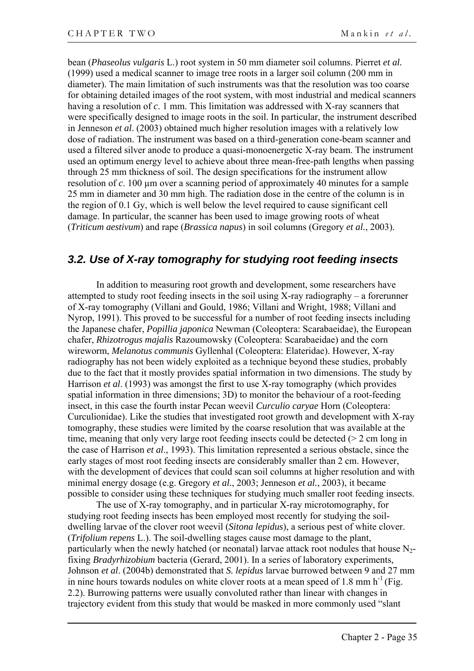<span id="page-5-0"></span>bean (*Phaseolus vulgaris* L.) root system in 50 mm diameter soil columns. Pierret *et al.* (1999) used a medical scanner to image tree roots in a larger soil column (200 mm in diameter). The main limitation of such instruments was that the resolution was too coarse for obtaining detailed images of the root system, with most industrial and medical scanners having a resolution of *c*. 1 mm. This limitation was addressed with X-ray scanners that were specifically designed to image roots in the soil. In particular, the instrument described in Jenneson *et al*. (2003) obtained much higher resolution images with a relatively low dose of radiation. The instrument was based on a third-generation cone-beam scanner and used a filtered silver anode to produce a quasi-monoenergetic X-ray beam. The instrument used an optimum energy level to achieve about three mean-free-path lengths when passing through 25 mm thickness of soil. The design specifications for the instrument allow resolution of *c*. 100 µm over a scanning period of approximately 40 minutes for a sample 25 mm in diameter and 30 mm high. The radiation dose in the centre of the column is in the region of 0.1 Gy, which is well below the level required to cause significant cell damage. In particular, the scanner has been used to image growing roots of wheat (*Triticum aestivum*) and rape (*Brassica napus*) in soil columns (Gregory *et al.*, 2003).

#### *3.2. Use of X-ray tomography for studying root feeding insects*

In addition to measuring root growth and development, some researchers have attempted to study root feeding insects in the soil using  $X$ -ray radiography – a forerunner of X-ray tomography (Villani and Gould, 1986; Villani and Wright, 1988; Villani and Nyrop, 1991). This proved to be successful for a number of root feeding insects including the Japanese chafer, *Popillia japonica* Newman (Coleoptera: Scarabaeidae), the European chafer, *Rhizotrogus majalis* Razoumowsky (Coleoptera: Scarabaeidae) and the corn wireworm, *Melanotus communis* Gyllenhal (Coleoptera: Elateridae). However, X-ray radiography has not been widely exploited as a technique beyond these studies, probably due to the fact that it mostly provides spatial information in two dimensions. The study by Harrison *et al*. (1993) was amongst the first to use X-ray tomography (which provides spatial information in three dimensions; 3D) to monitor the behaviour of a root-feeding insect, in this case the fourth instar Pecan weevil *Curculio caryae* Horn (Coleoptera: Curculionidae). Like the studies that investigated root growth and development with X-ray tomography, these studies were limited by the coarse resolution that was available at the time, meaning that only very large root feeding insects could be detected (> 2 cm long in the case of Harrison *et al*., 1993). This limitation represented a serious obstacle, since the early stages of most root feeding insects are considerably smaller than 2 cm. However, with the development of devices that could scan soil columns at higher resolution and with minimal energy dosage (e.g. Gregory *et al.*, 2003; Jenneson *et al.*, 2003), it became possible to consider using these techniques for studying much smaller root feeding insects.

The use of X-ray tomography, and in particular X-ray microtomography, for studying root feeding insects has been employed most recently for studying the soildwelling larvae of the clover root weevil (*Sitona lepidus*), a serious pest of white clover. (*Trifolium repens* L.). The soil-dwelling stages cause most damage to the plant, particularly when the newly hatched (or neonatal) larvae attack root nodules that house  $N_2$ fixing *Bradyrhizobium* bacteria (Gerard, 2001). In a series of laboratory experiments, Johnson *et al*. (2004b) demonstrated that *S. lepidus* larvae burrowed between 9 and 27 mm in nine hours towards nodules on white clover roots at a mean speed of 1.8 mm  $h^{-1}$  (Fig. 2.2). Burrowing patterns were usually convoluted rather than linear with changes in trajectory evident from this study that would be masked in more commonly used "slant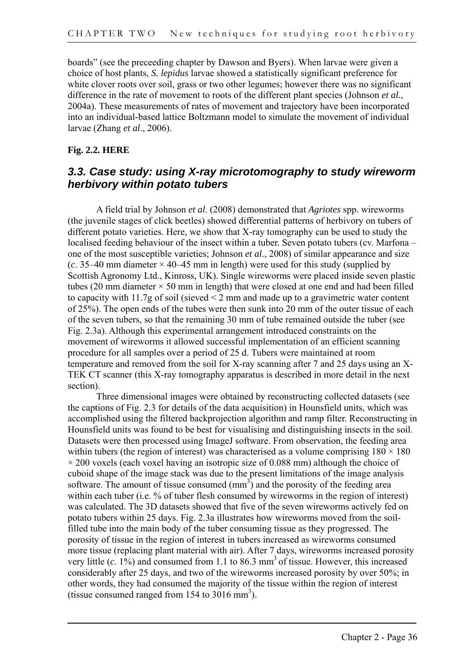<span id="page-6-0"></span>boards" (see the preceeding chapter by Dawson and Byers). When larvae were given a choice of host plants, *S. lepidus* larvae showed a statistically significant preference for white clover roots over soil, grass or two other legumes; however there was no significant difference in the rate of movement to roots of the different plant species (Johnson *et al.*, 2004a). These measurements of rates of movement and trajectory have been incorporated into an individual-based lattice Boltzmann model to simulate the movement of individual larvae (Zhang *et al*., 2006).

#### **Fig. 2.2. HERE**

#### *3.3. Case study: using X-ray microtomography to study wireworm herbivory within potato tubers*

A field trial by Johnson *et al*. (2008) demonstrated that *Agriotes* spp. wireworms (the juvenile stages of click beetles) showed differential patterns of herbivory on tubers of different potato varieties. Here, we show that X-ray tomography can be used to study the localised feeding behaviour of the insect within a tuber. Seven potato tubers (cv. Marfona – one of the most susceptible varieties; Johnson *et al*., 2008) of similar appearance and size  $(c. 35-40$  mm diameter  $\times$  40–45 mm in length) were used for this study (supplied by Scottish Agronomy Ltd., Kinross, UK). Single wireworms were placed inside seven plastic tubes (20 mm diameter  $\times$  50 mm in length) that were closed at one end and had been filled to capacity with 11.7g of soil (sieved < 2 mm and made up to a gravimetric water content of 25%). The open ends of the tubes were then sunk into 20 mm of the outer tissue of each of the seven tubers, so that the remaining 30 mm of tube remained outside the tuber (see Fig. 2.3a). Although this experimental arrangement introduced constraints on the movement of wireworms it allowed successful implementation of an efficient scanning procedure for all samples over a period of 25 d. Tubers were maintained at room temperature and removed from the soil for X-ray scanning after 7 and 25 days using an X-TEK CT scanner (this X-ray tomography apparatus is described in more detail in the next section).

Three dimensional images were obtained by reconstructing collected datasets (see the captions of Fig. 2.3 for details of the data acquisition) in Hounsfield units, which was accomplished using the filtered backprojection algorithm and ramp filter. Reconstructing in Hounsfield units was found to be best for visualising and distinguishing insects in the soil. Datasets were then processed using ImageJ software. From observation, the feeding area within tubers (the region of interest) was characterised as a volume comprising  $180 \times 180$  $\times$  200 voxels (each voxel having an isotropic size of 0.088 mm) although the choice of cuboid shape of the image stack was due to the present limitations of the image analysis software. The amount of tissue consumed  $(nm<sup>3</sup>)$  and the porosity of the feeding area within each tuber (i.e. % of tuber flesh consumed by wireworms in the region of interest) was calculated. The 3D datasets showed that five of the seven wireworms actively fed on potato tubers within 25 days. Fig. 2.3a illustrates how wireworms moved from the soilfilled tube into the main body of the tuber consuming tissue as they progressed. The porosity of tissue in the region of interest in tubers increased as wireworms consumed more tissue (replacing plant material with air). After 7 days, wireworms increased porosity very little  $(c. 1\%)$  and consumed from 1.1 to 86.3 mm<sup>3</sup> of tissue. However, this increased considerably after 25 days, and two of the wireworms increased porosity by over 50%; in other words, they had consumed the majority of the tissue within the region of interest (tissue consumed ranged from  $154$  to  $3016$  mm<sup>3</sup>).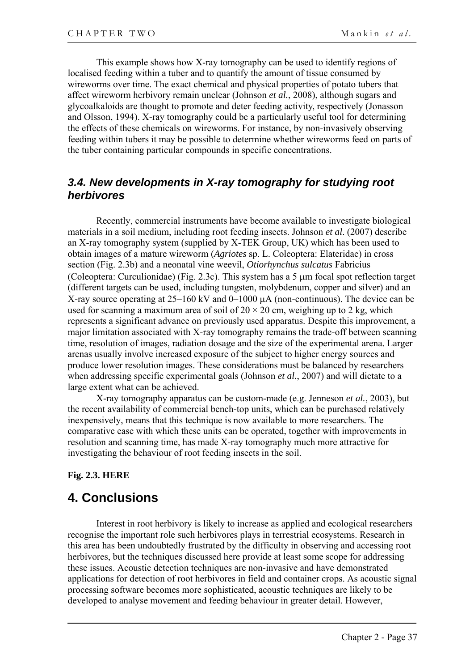<span id="page-7-0"></span>This example shows how X-ray tomography can be used to identify regions of localised feeding within a tuber and to quantify the amount of tissue consumed by wireworms over time. The exact chemical and physical properties of potato tubers that affect wireworm herbivory remain unclear (Johnson *et al.*, 2008), although sugars and glycoalkaloids are thought to promote and deter feeding activity, respectively (Jonasson and Olsson, 1994). X-ray tomography could be a particularly useful tool for determining the effects of these chemicals on wireworms. For instance, by non-invasively observing feeding within tubers it may be possible to determine whether wireworms feed on parts of the tuber containing particular compounds in specific concentrations.

### *3.4. New developments in X-ray tomography for studying root herbivores*

Recently, commercial instruments have become available to investigate biological materials in a soil medium, including root feeding insects. Johnson *et al*. (2007) describe an X-ray tomography system (supplied by X-TEK Group, UK) which has been used to obtain images of a mature wireworm (*Agriotes* sp. L. Coleoptera: Elateridae) in cross section (Fig. 2.3b) and a neonatal vine weevil, *Otiorhynchus sulcatus* Fabricius (Coleoptera: Curculionidae) (Fig. 2.3c). This system has a 5 μm focal spot reflection target (different targets can be used, including tungsten, molybdenum, copper and silver) and an X-ray source operating at 25–160 kV and 0–1000 μA (non-continuous). The device can be used for scanning a maximum area of soil of  $20 \times 20$  cm, weighing up to 2 kg, which represents a significant advance on previously used apparatus. Despite this improvement, a major limitation associated with X-ray tomography remains the trade-off between scanning time, resolution of images, radiation dosage and the size of the experimental arena. Larger arenas usually involve increased exposure of the subject to higher energy sources and produce lower resolution images. These considerations must be balanced by researchers when addressing specific experimental goals (Johnson *et al.*, 2007) and will dictate to a large extent what can be achieved.

X-ray tomography apparatus can be custom-made (e.g. Jenneson *et al.*, 2003), but the recent availability of commercial bench-top units, which can be purchased relatively inexpensively, means that this technique is now available to more researchers. The comparative ease with which these units can be operated, together with improvements in resolution and scanning time, has made X-ray tomography much more attractive for investigating the behaviour of root feeding insects in the soil.

#### **Fig. 2.3. HERE**

### **4. Conclusions**

Interest in root herbivory is likely to increase as applied and ecological researchers recognise the important role such herbivores plays in terrestrial ecosystems. Research in this area has been undoubtedly frustrated by the difficulty in observing and accessing root herbivores, but the techniques discussed here provide at least some scope for addressing these issues. Acoustic detection techniques are non-invasive and have demonstrated applications for detection of root herbivores in field and container crops. As acoustic signal processing software becomes more sophisticated, acoustic techniques are likely to be developed to analyse movement and feeding behaviour in greater detail. However,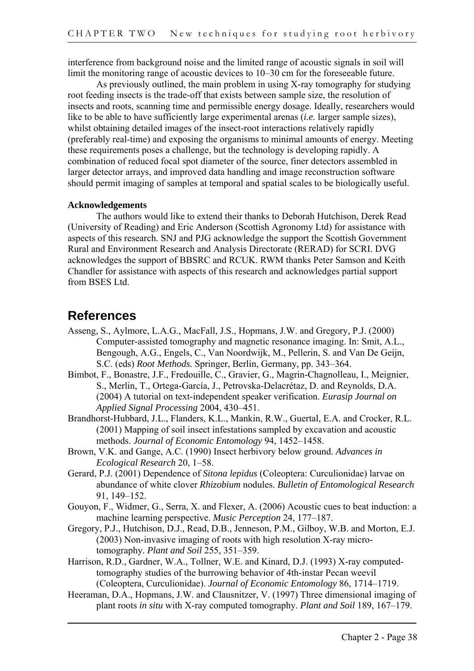<span id="page-8-0"></span>interference from background noise and the limited range of acoustic signals in soil will limit the monitoring range of acoustic devices to 10–30 cm for the foreseeable future.

As previously outlined, the main problem in using X-ray tomography for studying root feeding insects is the trade-off that exists between sample size, the resolution of insects and roots, scanning time and permissible energy dosage. Ideally, researchers would like to be able to have sufficiently large experimental arenas (*i.e.* larger sample sizes), whilst obtaining detailed images of the insect-root interactions relatively rapidly (preferably real-time) and exposing the organisms to minimal amounts of energy. Meeting these requirements poses a challenge, but the technology is developing rapidly. A combination of reduced focal spot diameter of the source, finer detectors assembled in larger detector arrays, and improved data handling and image reconstruction software should permit imaging of samples at temporal and spatial scales to be biologically useful.

#### **Acknowledgements**

The authors would like to extend their thanks to Deborah Hutchison, Derek Read (University of Reading) and Eric Anderson (Scottish Agronomy Ltd) for assistance with aspects of this research. SNJ and PJG acknowledge the support the Scottish Government Rural and Environment Research and Analysis Directorate (RERAD) for SCRI. DVG acknowledges the support of BBSRC and RCUK. RWM thanks Peter Samson and Keith Chandler for assistance with aspects of this research and acknowledges partial support from BSES Ltd.

### **References**

- Asseng, S., Aylmore, L.A.G., MacFall, J.S., Hopmans, J.W. and Gregory, P.J. (2000) Computer-assisted tomography and magnetic resonance imaging. In: Smit, A.L., Bengough, A.G., Engels, C., Van Noordwijk, M., Pellerin, S. and Van De Geijn, S.C. (eds) *Root Methods.* Springer, Berlin, Germany, pp. 343–364.
- Bimbot, F., Bonastre, J.F., Fredouille, C., Gravier, G., Magrin-Chagnolleau, I., Meignier, S., Merlin, T., Ortega-García, J., Petrovska-Delacrétaz, D. and Reynolds, D.A. (2004) A tutorial on text-independent speaker verification. *Eurasip Journal on Applied Signal Processing* 2004, 430–451.
- Brandhorst-Hubbard, J.L., Flanders, K.L., Mankin, R.W., Guertal, E.A. and Crocker, R.L. (2001) Mapping of soil insect infestations sampled by excavation and acoustic methods. *Journal of Economic Entomology* 94, 1452–1458.
- Brown, V.K. and Gange, A.C. (1990) Insect herbivory below ground. *Advances in Ecological Research* 20, 1–58.
- Gerard, P.J. (2001) Dependence of *Sitona lepidus* (Coleoptera: Curculionidae) larvae on abundance of white clover *Rhizobium* nodules. *Bulletin of Entomological Research* 91, 149–152.
- Gouyon, F., Widmer, G., Serra, X. and Flexer, A. (2006) Acoustic cues to beat induction: a machine learning perspective. *Music Perception* 24, 177–187.
- Gregory, P.J., Hutchison, D.J., Read, D.B., Jenneson, P.M., Gilboy, W.B. and Morton, E.J. (2003) Non-invasive imaging of roots with high resolution X-ray microtomography. *Plant and Soil* 255, 351–359.
- Harrison, R.D., Gardner, W.A., Tollner, W.E. and Kinard, D.J. (1993) X-ray computedtomography studies of the burrowing behavior of 4th-instar Pecan weevil (Coleoptera, Curculionidae). *Journal of Economic Entomology* 86, 1714–1719.
- Heeraman, D.A., Hopmans, J.W. and Clausnitzer, V. (1997) Three dimensional imaging of plant roots *in situ* with X-ray computed tomography. *Plant and Soil* 189, 167–179.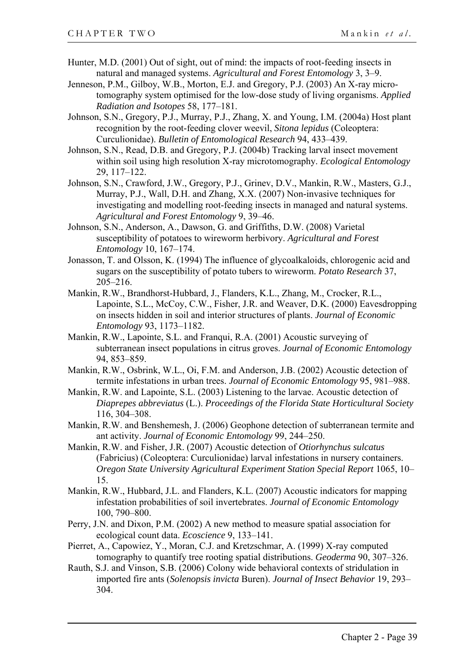- Hunter, M.D. (2001) Out of sight, out of mind: the impacts of root-feeding insects in natural and managed systems. *Agricultural and Forest Entomology* 3, 3–9.
- Jenneson, P.M., Gilboy, W.B., Morton, E.J. and Gregory, P.J. (2003) An X-ray microtomography system optimised for the low-dose study of living organisms. *Applied Radiation and Isotopes* 58, 177–181.
- Johnson, S.N., Gregory, P.J., Murray, P.J., Zhang, X. and Young, I.M. (2004a) Host plant recognition by the root-feeding clover weevil, *Sitona lepidus* (Coleoptera: Curculionidae). *Bulletin of Entomological Research* 94, 433–439.
- Johnson, S.N., Read, D.B. and Gregory, P.J. (2004b) Tracking larval insect movement within soil using high resolution X-ray microtomography. *Ecological Entomology* 29, 117–122.
- Johnson, S.N., Crawford, J.W., Gregory, P.J., Grinev, D.V., Mankin, R.W., Masters, G.J., Murray, P.J., Wall, D.H. and Zhang, X.X. (2007) Non-invasive techniques for investigating and modelling root-feeding insects in managed and natural systems. *Agricultural and Forest Entomology* 9, 39–46.
- Johnson, S.N., Anderson, A., Dawson, G. and Griffiths, D.W. (2008) Varietal susceptibility of potatoes to wireworm herbivory. *Agricultural and Forest Entomology* 10, 167–174.
- Jonasson, T. and Olsson, K. (1994) The influence of glycoalkaloids, chlorogenic acid and sugars on the susceptibility of potato tubers to wireworm. *Potato Research* 37, 205–216.
- Mankin, R.W., Brandhorst-Hubbard, J., Flanders, K.L., Zhang, M., Crocker, R.L., Lapointe, S.L., McCoy, C.W., Fisher, J.R. and Weaver, D.K. (2000) Eavesdropping on insects hidden in soil and interior structures of plants. *Journal of Economic Entomology* 93, 1173–1182.
- Mankin, R.W., Lapointe, S.L. and Franqui, R.A. (2001) Acoustic surveying of subterranean insect populations in citrus groves. *Journal of Economic Entomology* 94, 853–859.
- Mankin, R.W., Osbrink, W.L., Oi, F.M. and Anderson, J.B. (2002) Acoustic detection of termite infestations in urban trees. *Journal of Economic Entomology* 95, 981–988.
- Mankin, R.W. and Lapointe, S.L. (2003) Listening to the larvae. Acoustic detection of *Diaprepes abbreviatus* (L.). *Proceedings of the Florida State Horticultural Society* 116, 304–308.
- Mankin, R.W. and Benshemesh, J. (2006) Geophone detection of subterranean termite and ant activity. *Journal of Economic Entomology* 99, 244–250.
- Mankin, R.W. and Fisher, J.R. (2007) Acoustic detection of *Otiorhynchus sulcatus* (Fabricius) (Coleoptera: Curculionidae) larval infestations in nursery containers. *Oregon State University Agricultural Experiment Station Special Report* 1065, 10– 15.
- Mankin, R.W., Hubbard, J.L. and Flanders, K.L. (2007) Acoustic indicators for mapping infestation probabilities of soil invertebrates. *Journal of Economic Entomology* 100, 790–800.
- Perry, J.N. and Dixon, P.M. (2002) A new method to measure spatial association for ecological count data. *Ecoscience* 9, 133–141.
- Pierret, A., Capowiez, Y., Moran, C.J. and Kretzschmar, A. (1999) X-ray computed tomography to quantify tree rooting spatial distributions. *Geoderma* 90, 307–326.
- Rauth, S.J. and Vinson, S.B. (2006) Colony wide behavioral contexts of stridulation in imported fire ants (*Solenopsis invicta* Buren). *Journal of Insect Behavior* 19, 293– 304.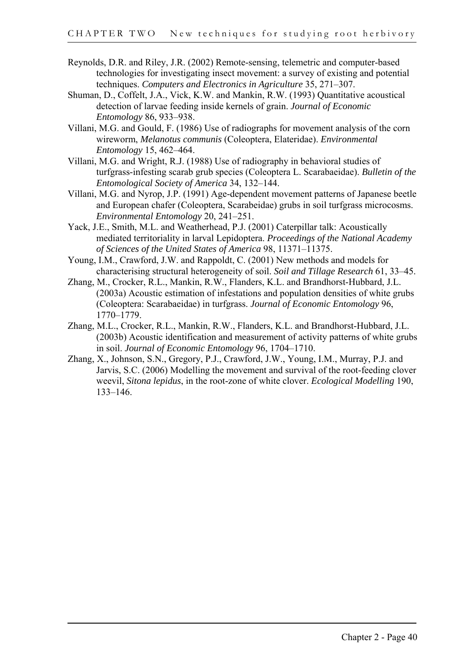- Reynolds, D.R. and Riley, J.R. (2002) Remote-sensing, telemetric and computer-based technologies for investigating insect movement: a survey of existing and potential techniques. *Computers and Electronics in Agriculture* 35, 271–307.
- Shuman, D., Coffelt, J.A., Vick, K.W. and Mankin, R.W. (1993) Quantitative acoustical detection of larvae feeding inside kernels of grain. *Journal of Economic Entomology* 86, 933–938.
- Villani, M.G. and Gould, F. (1986) Use of radiographs for movement analysis of the corn wireworm, *Melanotus communis* (Coleoptera, Elateridae). *Environmental Entomology* 15, 462–464.
- Villani, M.G. and Wright, R.J. (1988) Use of radiography in behavioral studies of turfgrass-infesting scarab grub species (Coleoptera L. Scarabaeidae). *Bulletin of the Entomological Society of America* 34, 132–144.
- Villani, M.G. and Nyrop, J.P. (1991) Age-dependent movement patterns of Japanese beetle and European chafer (Coleoptera, Scarabeidae) grubs in soil turfgrass microcosms. *Environmental Entomology* 20, 241–251.
- Yack, J.E., Smith, M.L. and Weatherhead, P.J. (2001) Caterpillar talk: Acoustically mediated territoriality in larval Lepidoptera. *Proceedings of the National Academy of Sciences of the United States of America* 98, 11371–11375.
- Young, I.M., Crawford, J.W. and Rappoldt, C. (2001) New methods and models for characterising structural heterogeneity of soil. *Soil and Tillage Research* 61, 33–45.
- Zhang, M., Crocker, R.L., Mankin, R.W., Flanders, K.L. and Brandhorst-Hubbard, J.L. (2003a) Acoustic estimation of infestations and population densities of white grubs (Coleoptera: Scarabaeidae) in turfgrass. *Journal of Economic Entomology* 96, 1770–1779.
- Zhang, M.L., Crocker, R.L., Mankin, R.W., Flanders, K.L. and Brandhorst-Hubbard, J.L. (2003b) Acoustic identification and measurement of activity patterns of white grubs in soil. *Journal of Economic Entomology* 96, 1704–1710.
- Zhang, X., Johnson, S.N., Gregory, P.J., Crawford, J.W., Young, I.M., Murray, P.J. and Jarvis, S.C. (2006) Modelling the movement and survival of the root-feeding clover weevil, *Sitona lepidus*, in the root-zone of white clover. *Ecological Modelling* 190, 133–146.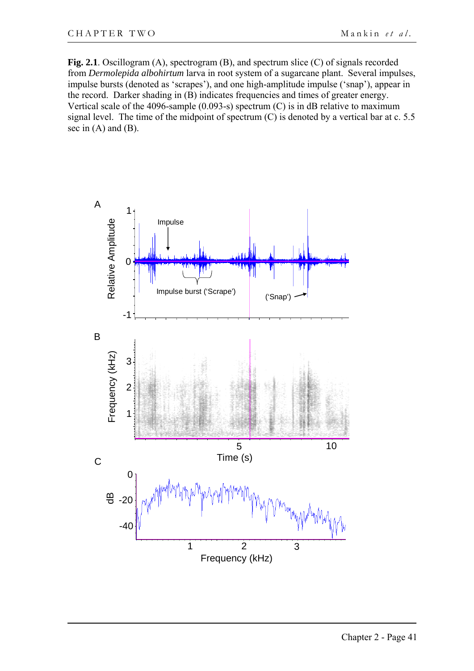Fig. 2.1. Oscillogram (A), spectrogram (B), and spectrum slice (C) of signals recorded from *Dermolepida albohirtum* larva in root system of a sugarcane plant. Several impulses, impulse bursts (denoted as 'scrapes'), and one high-amplitude impulse ('snap'), appear in the record. Darker shading in (B) indicates frequencies and times of greater energy. Vertical scale of the 4096-sample  $(0.093-s)$  spectrum  $(C)$  is in dB relative to maximum signal level. The time of the midpoint of spectrum  $(C)$  is denoted by a vertical bar at c. 5.5 sec in  $(A)$  and  $(B)$ .

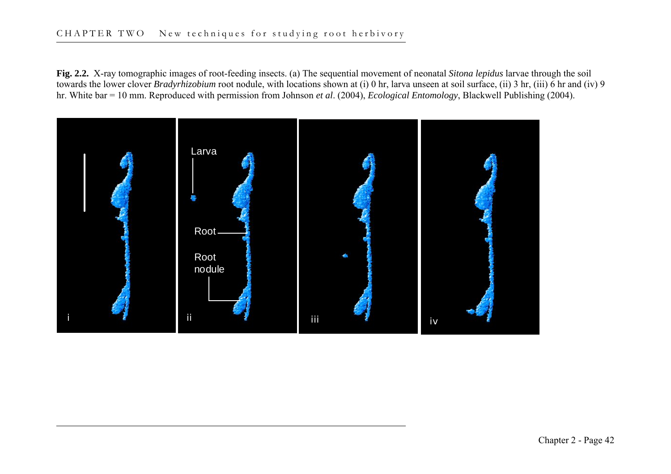**Fig. 2.2.** X-ray tomographic images of root-feeding insects. (a) The sequential movement of neonatal *Sitona lepidus* larvae through the soil towards the lower clover *Bradyrhizobium* root nodule, with locations shown at (i) 0 hr, larva unseen at soil surface, (ii) 3 hr, (iii) 6 hr and (iv) 9 hr. White bar = 10 mm. Reproduced with permission from Johnson *et al*. (2004), *Ecological Entomology*, Blackwell Publishing (2004).